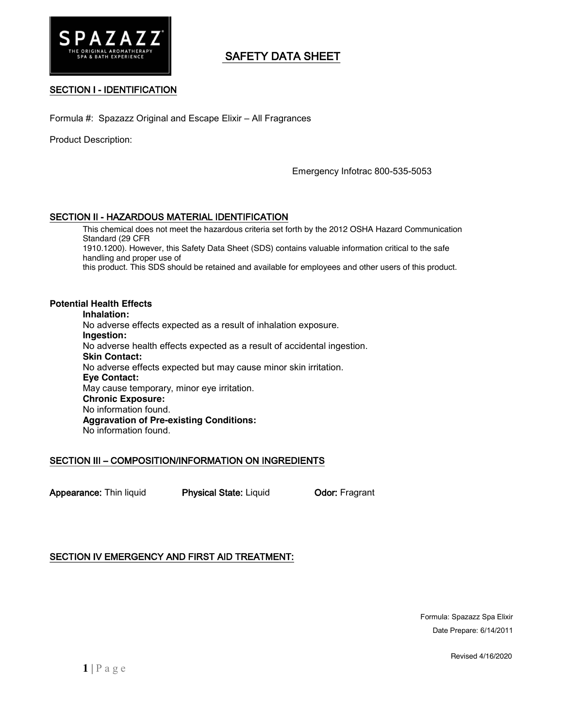

# SAFETY DATA SHEET

## SECTION I - IDENTIFICATION

Formula #: Spazazz Original and Escape Elixir – All Fragrances

Product Description:

Emergency Infotrac 800-535-5053

## SECTION II - HAZARDOUS MATERIAL IDENTIFICATION

This chemical does not meet the hazardous criteria set forth by the 2012 OSHA Hazard Communication Standard (29 CFR 1910.1200). However, this Safety Data Sheet (SDS) contains valuable information critical to the safe handling and proper use of

this product. This SDS should be retained and available for employees and other users of this product.

#### **Potential Health Effects**

**Inhalation:** No adverse effects expected as a result of inhalation exposure. **Ingestion:** No adverse health effects expected as a result of accidental ingestion. **Skin Contact:** No adverse effects expected but may cause minor skin irritation. **Eye Contact:** May cause temporary, minor eye irritation. **Chronic Exposure:** No information found. **Aggravation of Pre-existing Conditions:** No information found.

#### SECTION III – COMPOSITION/INFORMATION ON INGREDIENTS

Appearance: Thin liquid Physical State: Liquid Odor: Fragrant

## SECTION IV EMERGENCY AND FIRST AID TREATMENT:

Formula: Spazazz Spa Elixir Date Prepare: 6/14/2011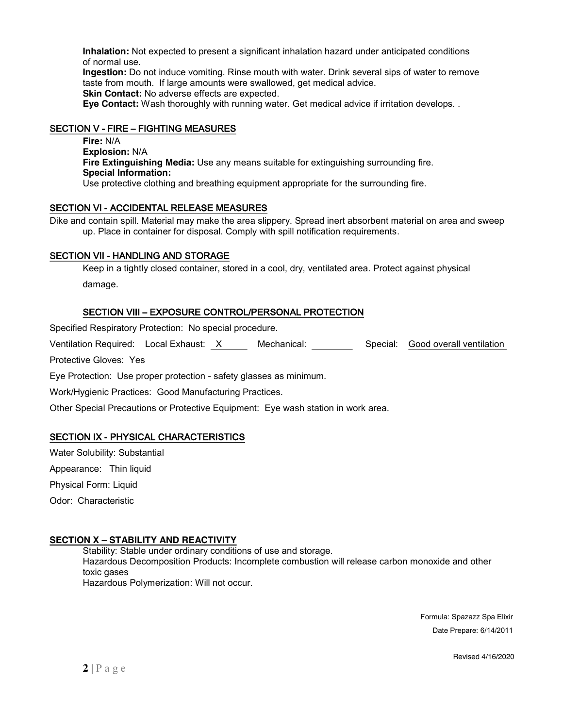**Inhalation:** Not expected to present a significant inhalation hazard under anticipated conditions of normal use.

**Ingestion:** Do not induce vomiting. Rinse mouth with water. Drink several sips of water to remove taste from mouth. If large amounts were swallowed, get medical advice. **Skin Contact:** No adverse effects are expected.

**Eye Contact:** Wash thoroughly with running water. Get medical advice if irritation develops. .

## SECTION V - FIRE – FIGHTING MEASURES

**Fire:** N/A **Explosion:** N/A **Fire Extinguishing Media:** Use any means suitable for extinguishing surrounding fire. **Special Information:** Use protective clothing and breathing equipment appropriate for the surrounding fire.

## SECTION VI - ACCIDENTAL RELEASE MEASURES

Dike and contain spill. Material may make the area slippery. Spread inert absorbent material on area and sweep up. Place in container for disposal. Comply with spill notification requirements.

## SECTION VII - HANDLING AND STORAGE

Keep in a tightly closed container, stored in a cool, dry, ventilated area. Protect against physical damage.

## SECTION VIII – EXPOSURE CONTROL/PERSONAL PROTECTION

Specified Respiratory Protection: No special procedure.

Ventilation Required: Local Exhaust: X Mechanical: Special: Good overall ventilation

Protective Gloves: Yes

Eye Protection: Use proper protection - safety glasses as minimum.

Work/Hygienic Practices: Good Manufacturing Practices.

Other Special Precautions or Protective Equipment: Eye wash station in work area.

## SECTION IX - PHYSICAL CHARACTERISTICS

Water Solubility: Substantial

Appearance: Thin liquid

Physical Form: Liquid

Odor: Characteristic

## **SECTION X – STABILITY AND REACTIVITY**

Stability: Stable under ordinary conditions of use and storage. Hazardous Decomposition Products: Incomplete combustion will release carbon monoxide and other toxic gases Hazardous Polymerization: Will not occur.

> Formula: Spazazz Spa Elixir Date Prepare: 6/14/2011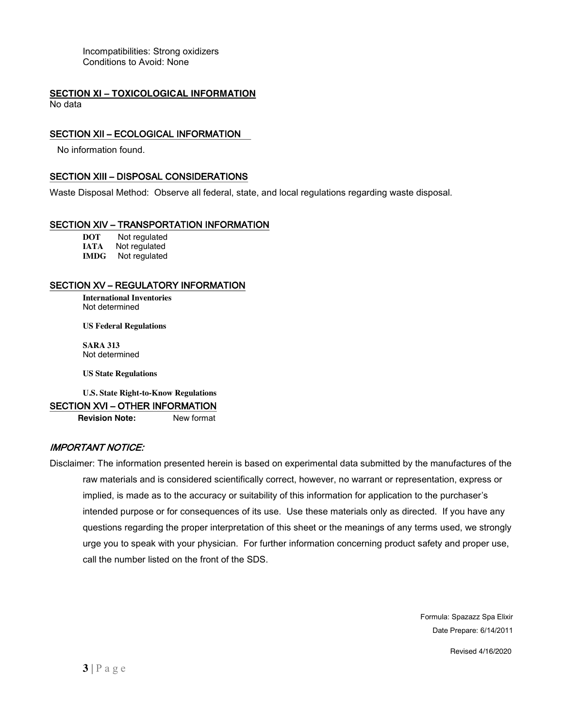Incompatibilities: Strong oxidizers Conditions to Avoid: None

#### **SECTION XI – TOXICOLOGICAL INFORMATION** No data

#### SECTION XII – ECOLOGICAL INFORMATION

No information found.

#### SECTION XIII – DISPOSAL CONSIDERATIONS

Waste Disposal Method: Observe all federal, state, and local regulations regarding waste disposal.

#### SECTION XIV – TRANSPORTATION INFORMATION

**DOT** Not regulated<br> **IATA** Not regulated **Not regulated IMDG** Not regulated

## SECTION XV – REGULATORY INFORMATION

**International Inventories** Not determined

**US Federal Regulations**

**SARA 313** Not determined

**US State Regulations**

**U.S. State Right-to-Know Regulations**

#### SECTION XVI – OTHER INFORMATION

**Revision Note:** New format

#### IMPORTANT NOTICE:

Disclaimer: The information presented herein is based on experimental data submitted by the manufactures of the raw materials and is considered scientifically correct, however, no warrant or representation, express or implied, is made as to the accuracy or suitability of this information for application to the purchaser's intended purpose or for consequences of its use. Use these materials only as directed. If you have any questions regarding the proper interpretation of this sheet or the meanings of any terms used, we strongly urge you to speak with your physician. For further information concerning product safety and proper use, call the number listed on the front of the SDS.

> Formula: Spazazz Spa Elixir Date Prepare: 6/14/2011